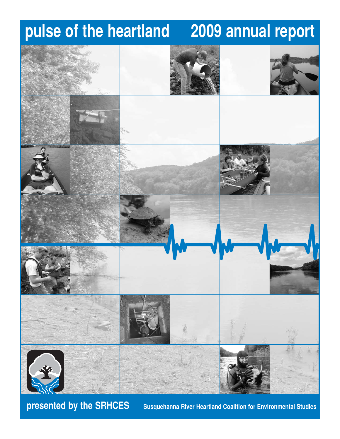# **pulse of the heartland 2009 annual report**



**presented by the SRHCES** Susquehanna River Heartland Coalition for Environmental Studies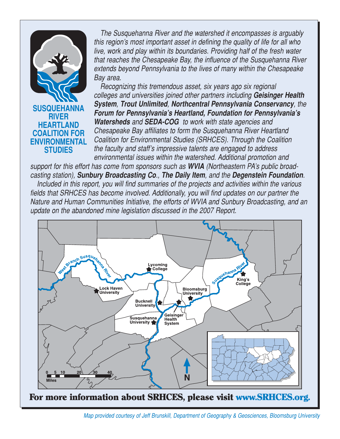

*The Susquehanna River and the watershed it encompasses is arguably this region's most important asset in defining the quality of life for all who live, work and play within its boundaries. Providing half of the fresh water that reaches the Chesapeake Bay, the influence of the Susquehanna River extends beyond Pennsylvania to the lives of many within the Chesapeake Bay area.*

*Recognizing this tremendous asset, six years ago six regional colleges and universities joined other partners including Geisinger Health System, Trout Unlimited, Northcentral Pennsylvania Conservancy, the Forum for Pennsylvania's Heartland, Foundation for Pennsylvania's Watersheds and SEDA-COG to work with state agencies and Chesapeake Bay affiliates to form the Susquehanna River Heartland Coalition for Environmental Studies (SRHCES). Through the Coalition the faculty and staff's impressive talents are engaged to address environmental issues within the watershed. Additional promotion and* 

*support for this effort has come from sponsors such as WVIA (Northeastern PA's public broadcasting station), Sunbury Broadcasting Co., The Daily Item, and the Degenstein Foundation. Included in this report, you will find summaries of the projects and activities within the various fields that SRHCES has become involved. Additionally, you will find updates on our partner the Nature and Human Communities Initiative, the efforts of WVIA and Sunbury Broadcasting, and an update on the abandoned mine legislation discussed in the 2007 Report.*



For more information about SRHCES, please visit www.SRHCES.org.

**<sup>2</sup>** *Map provided courtesy of Jeff Brunskill, Department of Geography & Geosciences, Bloomsburg University*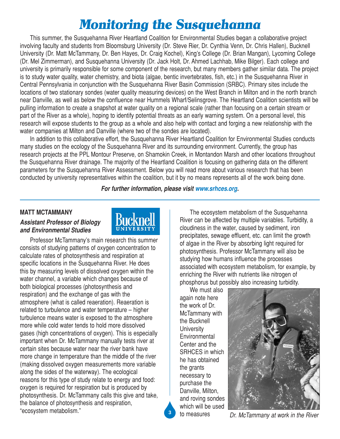## *Monitoring the Susquehanna*

This summer, the Susquehanna River Heartland Coalition for Environmental Studies began a collaborative project involving faculty and students from Bloomsburg University (Dr. Steve Rier, Dr. Cynthia Venn, Dr. Chris Hallen), Bucknell University (Dr. Matt McTammany, Dr. Ben Hayes, Dr. Craig Kochel), King's College (Dr. Brian Mangan), Lycoming College (Dr. Mel Zimmerman), and Susquehanna University (Dr. Jack Holt, Dr. Ahmed Lachhab, Mike Bilger). Each college and university is primarily responsible for some component of the research, but many members gather similar data. The project is to study water quality, water chemistry, and biota (algae, bentic invertebrates, fish, etc.) in the Susquehanna River in Central Pennsylvania in conjunction with the Susquehanna River Basin Commission (SRBC). Primary sites include the locations of two stationary sondes (water quality measuring devices) on the West Branch in Milton and in the north branch near Danville, as well as below the confluence near Hummels Wharf/Selinsgrove. The Heartland Coalition scientists will be pulling information to create a snapshot at water quality on a regional scale (rather than focusing on a certain stream or part of the River as a whole), hoping to identify potential threats as an early warning system. On a personal level, this research will expose students to the group as a whole and also help with contact and forging a new relationship with the water companies at Milton and Danville (where two of the sondes are located).

In addition to this collaborative effort, the Susquehanna River Heartland Coalition for Environmental Studies conducts many studies on the ecology of the Susquehanna River and its surrounding environment. Currently, the group has research projects at the PPL Montour Preserve, on Shamokin Creek, in Montandon Marsh and other locations throughout the Susquehanna River drainage. The majority of the Heartland Coalition is focusing on gathering data on the different parameters for the Susquehanna River Assessment. Below you will read more about various research that has been conducted by university representatives within the coalition, but it by no means represents all of the work being done.

*For further information, please visit www.srhces.org.*

#### **MATT MCTAMMANY**

## *Assistant Professor of Biology and Environmental Studies*



Professor McTammany's main research this summer consists of studying patterns of oxygen concentration to calculate rates of photosynthesis and respiration at specific locations in the Susquehanna River. He does this by measuring levels of dissolved oxygen within the water channel, a variable which changes because of both biological processes (photosynthesis and respiration) and the exchange of gas with the atmosphere (what is called reaeration). Reaeration is related to turbulence and water temperature – higher turbulence means water is exposed to the atmosphere more while cold water tends to hold more dissolved gases (high concentrations of oxygen). This is especially important when Dr. McTammany manually tests river at certain sites because water near the river bank have more change in temperature than the middle of the river (making dissolved oxygen measurements more variable along the sides of the waterway). The ecological reasons for this type of study relate to energy and food: oxygen is required for respiration but is produced by photosynthesis. Dr. McTammany calls this give and take, the balance of photosynthesis and respiration, "ecosystem metabolism."

The ecosystem metabolism of the Susquehanna River can be affected by multiple variables. Turbidity, a cloudiness in the water, caused by sediment, iron precipitates, sewage effluent, etc. can limit the growth of algae in the River by absorbing light required for photosynthesis. Professor McTammany will also be studying how humans influence the processes associated with ecosystem metabolism, for example, by enriching the River with nutrients like nitrogen of phosphorus but possibly also increasing turbidity.

We must also again note here the work of Dr. McTammany with the Bucknell **University Environmental** Center and the SRHCES in which he has obtained the grants necessary to purchase the Danville, Milton, and roving sondes which will be used to measures



*Dr. McTammany at work in the River* **<sup>3</sup>**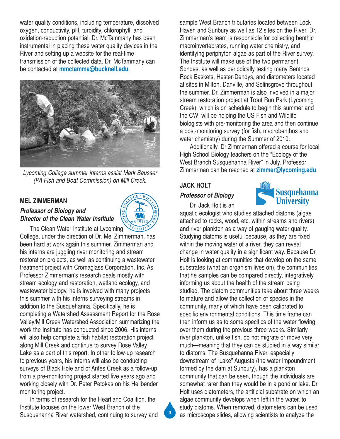water quality conditions, including temperature, dissolved oxygen, conductivity, pH, turbidity, chlorophyll, and oxidation-reduction potential. Dr. McTammany has been instrumental in placing these water quality devices in the River and setting up a website for the real-time transmission of the collected data. Dr. McTammany can be contacted at **mmctamma@bucknell.edu**.



*Lycoming College summer interns assist Mark Sausser (PA Fish and Boat Commission) on Mill Creek.*

#### **MEL ZIMMERMAN**

### *Professor of Biology and Director of the Clean Water Institute*

 $12.1812$ The Clean Water Institute at Lycoming College, under the direction of Dr. Mel Zimmerman, has been hard at work again this summer. Zimmerman and his interns are juggling river monitoring and stream restoration projects, as well as continuing a wastewater treatment project with Cromaglass Corporation, Inc. As Professor Zimmerman's research deals mostly with stream ecology and restoration, wetland ecology, and wastewater biology, he is involved with many projects this summer with his interns surveying streams in addition to the Susquehanna. Specifically, he is completing a Watershed Assessment Report for the Rose Valley/Mill Creek Watershed Association summarizing the work the Institute has conducted since 2006. His interns will also help complete a fish habitat restoration project along Mill Creek and continue to survey Rose Valley Lake as a part of this report. In other follow-up research to previous years, his interns will also be conducting surveys of Black Hole and of Antes Creek as a follow-up from a pre-monitoring project started five years ago and working closely with Dr. Peter Petokas on his Hellbender monitoring project.

In terms of research for the Heartland Coalition, the Institute focuses on the lower West Branch of the Susquehanna River watershed, continuing to survey and sample West Branch tributaries located between Lock Haven and Sunbury as well as 12 sites on the River. Dr. Zimmerman's team is responsible for collecting benthic macroinvertebrates, running water chemistry, and identifying periphyton algae as part of the River survey. The Institute will make use of the two permanent Sondes, as well as periodically testing many Benthos Rock Baskets, Hester-Dendys, and diatometers located at sites in Milton, Danville, and Selinsgrove throughout the summer. Dr. Zimmerman is also involved in a major stream restoration project at Trout Run Park (Lycoming Creek), which is on schedule to begin this summer and the CWI will be helping the US Fish and Wildlife biologists with pre-monitoring the area and then continue a post-monitoring survey (for fish, macrobenthos and water chemistry) during the Summer of 2010.

Additionally, Dr Zimmerman offered a course for local High School Biology teachers on the "Ecology of the West Branch Susquehanna River" in July. Professor Zimmerman can be reached at **zimmer@lycoming.edu**.

#### **JACK HOLT**

#### *Professor of Biology*



Dr. Jack Holt is an

aquatic ecologist who studies attached diatoms (algae attached to rocks, wood, etc. within streams and rivers) and river plankton as a way of gauging water quality. Studying diatoms is useful because, as they are fixed within the moving water of a river, they can reveal change in water quality in a significant way. Because Dr. Holt is looking at communities that develop on the same substrates (what an organism lives on), the communities that he samples can be compared directly, integratively informing us about the health of the stream being studied. The diatom communities take about three weeks to mature and allow the collection of species in the community, many of which have been calibrated to specific environmental conditions. This time frame can then inform us as to some specifics of the water flowing over them during the previous three weeks. Similarly, river plankton, unlike fish, do not migrate or move very much—meaning that they can be studied in a way similar to diatoms. The Susquehanna River, especially downstream of "Lake" Augusta (the water impoundment formed by the dam at Sunbury), has a plankton community that can be seen, though the individuals are somewhat rarer than they would be in a pond or lake. Dr. Holt uses diatometers, the artificial substrate on which an algae community develops when left in the water, to study diatoms. When removed, diatometers can be used as microscope slides, allowing scientists to analyze the

**4**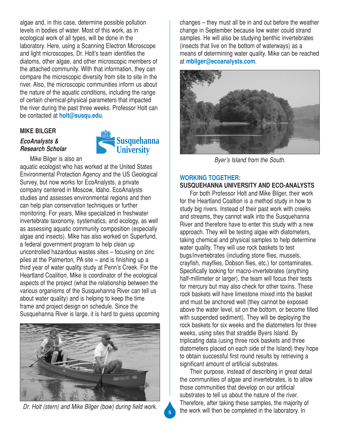algae and, in this case, determine possible pollution levels in bodies of water. Most of this work, as in ecological work of all types, will be done in the laboratory. Here, using a Scanning Electron Microscope and light microscopes, Dr. Holt's team identifies the diatoms, other algae, and other microscopic members of the attached community. With that information, they can compare the microscopic diversity from site to site in the river. Also, the microscopic communities inform us about the nature of the aquatic conditions, including the range of certain chemical-physical parameters that impacted the river during the past three weeks. Professor Holt can be contacted at **holt@susqu.edu**.

#### **MIKE BILGER**

#### *EcoAnalysts & Research Scholar*



Mike Bilger is also an aquatic ecologist who has worked at the United States Environmental Protection Agency and the US Geological Survey, but now works for EcoAnalysts, a private company centered in Moscow, Idaho. EcoAnalysts studies and assesses environmental regions and then can help plan conservation techniques or further monitoring. For years, Mike specialized in freshwater invertebrate taxonomy, systematics, and ecology, as well as assessing aquatic community composition (especially algae and insects). Mike has also worked on Superfund, a federal government program to help clean up uncontrolled hazardous wastes sites – focusing on zinc piles at the Palmerton, PA site – and is finishing up a third year of water quality study at Penn's Creek. For the Heartland Coalition, Mike is coordinator of the ecological aspects of the project (what the relationship between the various organisms of the Susquehanna River can tell us about water quality) and is helping to keep the time frame and project design on schedule. Since the Susquehanna River is large, it is hard to guess upcoming



*Dr. Holt (stern) and Mike Bilger (bow) during field work.*

changes – they must all be in and out before the weather change in September because low water could strand samples. He will also be studying benthic invertebrates (insects that live on the bottom of waterways) as a means of determining water quality. Mike can be reached at **mbilger@ecoanalysts.com**.



*Byer's Island from the South.*

## **WORKING TOGETHER:**

## **SUSQUEHANNA UNIVERSITY AND ECO-ANALYSTS**

For both Professor Holt and Mike Bilger, their work for the Heartland Coaltion is a method study in how to study big rivers. Instead of their past work with creeks and streams, they cannot walk into the Susquehanna River and therefore have to enter this study with a new approach. They will be testing algae with diatometers, taking chemical and physical samples to help determine water quality. They will use rock baskets to test bugs/invertebrates (including stone flies, mussels, crayfish, mayflies, Dobson flies, etc.) for contaminates. Specifically looking for macro-invertebrates (anything half-millimeter or larger), the team will focus their tests for mercury but may also check for other toxins. These rock baskets will have limestone mixed into the basket and must be anchored well (they cannot be exposed above the water level, sit on the bottom, or become filled with suspended sediment). They will be deploying the rock baskets for six weeks and the diatometers for three weeks, using sites that straddle Byers Island. By triplicating data (using three rock baskets and three diatometers placed on each side of the Island) they hope to obtain successful first round results by retrieving a significant amount of artificial substrates.

Their purpose, instead of describing in great detail the communities of algae and invertebrates, is to allow those communities that develop on our artificial substrates to tell us about the nature of the river. Therefore, after taking these samples, the majority of the work will then be completed in the laboratory. In **<sup>5</sup>**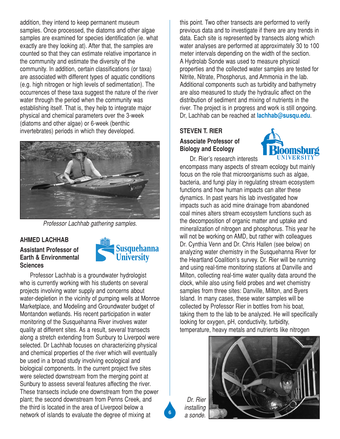addition, they intend to keep permanent museum samples. Once processed, the diatoms and other algae samples are examined for species identification (ie. what exactly are they looking at). After that, the samples are counted so that they can estimate relative importance in the community and estimate the diversity of the community. In addition, certain classifications (or taxa) are associated with different types of aquatic conditions (e.g. high nitrogen or high levels of sedimentation). The occurrences of these taxa suggest the nature of the river water through the period when the community was establishing itself. That is, they help to integrate major physical and chemical parameters over the 3-week (diatoms and other algae) or 6-week (benthic invertebrates) periods in which they developed.



*Professor Lachhab gathering samples.*

#### **AHMED LACHHAB**

### **Assistant Professor of Earth & Environmental Sciences**



Professor Lachhab is a groundwater hydrologist who is currently working with his students on several projects involving water supply and concerns about water-depletion in the vicinity of pumping wells at Monroe Marketplace, and Modeling and Groundwater budget of Montandon wetlands. His recent participation in water monitoring of the Susquehanna River involves water quality at different sites. As a result, several transects along a stretch extending from Sunbury to Liverpool were selected. Dr Lachhab focuses on characterizing physical and chemical properties of the river which will eventually be used in a broad study involving ecological and biological components. In the current project five sites were selected downstream from the merging point at Sunbury to assess several features affecting the river. These transects include one downstream from the power plant; the second downstream from Penns Creek, and the third is located in the area of Liverpool below a network of islands to evaluate the degree of mixing at

this point. Two other transects are performed to verify previous data and to investigate if there are any trends in data. Each site is represented by transects along which water analyses are performed at approximately 30 to 100 meter intervals depending on the width of the section. A Hydrolab Sonde was used to measure physical properties and the collected water samples are tested for Nitrite, Nitrate, Phosphorus, and Ammonia in the lab. Additional components such as turbidity and bathymetry are also measured to study the hydraulic affect on the distribution of sediment and mixing of nutrients in the river. The project is in progress and work is still ongoing. Dr, Lachhab can be reached at **lachhab@susqu.edu**.

## **STEVEN T. RIER**

## **Associate Professor of Biology and Ecology**

Dr. Rier's research interests



encompass many aspects of stream ecology but mainly focus on the role that microorganisms such as algae, bacteria, and fungi play in regulating stream ecosystem functions and how human impacts can alter these dynamics. In past years his lab investigated how impacts such as acid mine drainage from abandoned coal mines alters stream ecosystem functions such as the decomposition of organic matter and uptake and mineralization of nitrogen and phosphorus. This year he will not be working on AMD, but rather with colleagues Dr. Cynthia Venn and Dr. Chris Hallen (see below) on analyzing water chemistry in the Susquehanna River for the Heartland Coalition's survey. Dr. Rier will be running and using real-time monitoring stations at Danville and Milton, collecting real-time water quality data around the clock, while also using field probes and wet chemistry samples from three sites: Danville, Milton, and Byers Island. In many cases, these water samples will be collected by Professor Rier in bottles from his boat, taking them to the lab to be analyzed. He will specifically looking for oxygen, pH, conductivity, turbidity, temperature, heavy metals and nutrients like nitrogen



*Dr. Rier installing a sonde.*

**6**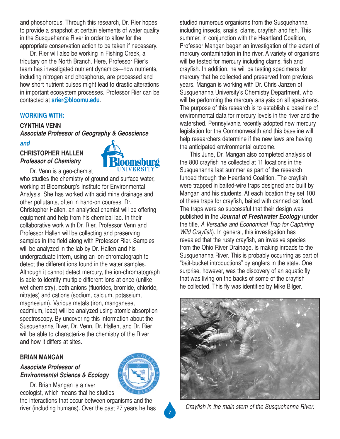and phosphorous. Through this research, Dr. Rier hopes to provide a snapshot at certain elements of water quality in the Susquehanna River in order to allow for the appropriate conservation action to be taken if necessary.

Dr. Rier will also be working in Fishing Creek, a tributary on the North Branch. Here, Professor Rier's team has investigated nutrient dynamics—how nutrients, including nitrogen and phosphorus, are processed and how short nutrient pulses might lead to drastic alterations in important ecosystem processes. Professor Rier can be contacted at **srier@bloomu.edu**.

## **WORKING WITH:**

## **CYNTHIA VENN**

*Associate Professor of Geography & Geoscience*

#### *and*

## **CHRISTOPHER HALLEN** *Professor of Chemistry*



Dr. Venn is a geo-chemist who studies the chemistry of ground and surface water, working at Bloomsburg's Institute for Environmental Analysis. She has worked with acid mine drainage and other pollutants, often in hand-on courses. Dr. Christopher Hallen, an analytical chemist will be offering equipment and help from his chemical lab. In their collaborative work with Dr. Rier, Professor Venn and Professor Hallen will be collecting and preserving samples in the field along with Professor Rier. Samples will be analyzed in the lab by Dr. Hallen and his undergraduate intern, using an ion-chromatograph to detect the different ions found in the water samples. Although it cannot detect mercury, the ion-chromatograph is able to identify multiple different ions at once (unlike wet chemistry), both anions (fluorides, bromide, chloride, nitrates) and cations (sodium, calcium, potassium, magnesium). Various metals (iron, manganese, cadmium, lead) will be analyzed using atomic absorption spectroscopy. By uncovering this information about the Susquehanna River, Dr. Venn, Dr. Hallen, and Dr. Rier will be able to characterize the chemistry of the River and how it differs at sites.

#### **BRIAN MANGAN**

## *Associate Professor of Environmental Science & Ecology*

Dr. Brian Mangan is a river ecologist, which means that he studies

the interactions that occur between organisms and the river (including humans). Over the past 27 years he has studied numerous organisms from the Susquehanna including insects, snails, clams, crayfish and fish. This summer, in conjunction with the Heartland Coalition, Professor Mangan began an investigation of the extent of mercury contamination in the river. A variety of organisms will be tested for mercury including clams, fish and crayfish. In addition, he will be testing specimens for mercury that he collected and preserved from previous years. Mangan is working with Dr. Chris Janzen of Susquehanna University's Chemistry Department, who will be performing the mercury analysis on all specimens. The purpose of this research is to establish a baseline of environmental data for mercury levels in the river and the watershed. Pennsylvania recently adopted new mercury legislation for the Commonwealth and this baseline will help researchers determine if the new laws are having the anticipated environmental outcome.

This June, Dr. Mangan also completed analysis of the 800 crayfish he collected at 11 locations in the Susquehanna last summer as part of the research funded through the Heartland Coalition. The crayfish were trapped in baited-wire traps designed and built by Mangan and his students. At each location they set 100 of these traps for crayfish, baited with canned cat food. The traps were so successful that their design was published in the *Journal of Freshwater Ecology* (under the title, *A Versatile and Economical Trap for Capturing Wild Crayfish*). In general, this investigation has revealed that the rusty crayfish, an invasive species from the Ohio River Drainage, is making inroads to the Susquehanna River. This is probably occurring as part of "bait-bucket introductions" by anglers in the state. One surprise, however, was the discovery of an aquatic fly that was living on the backs of some of the crayfish he collected. This fly was identified by Mike Bilger,



*Crayfish in the main stem of the Susquehanna River.*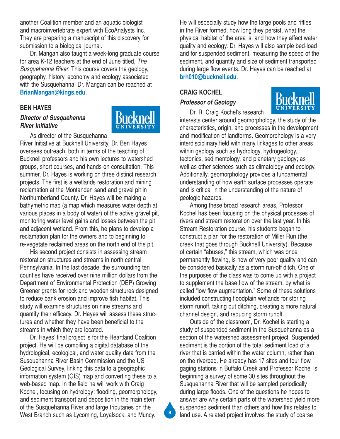another Coalition member and an aquatic biologist and macroinvertebrate expert with EcoAnalysts Inc. They are preparing a manuscript of this discovery for submission to a biological journal.

Dr. Mangan also taught a week-long graduate course for area K-12 teachers at the end of June titled, *The Susquehanna River*. This course covers the geology, geography, history, economy and ecology associated with the Susquehanna. Dr. Mangan can be reached at **BrianMangan@kings.edu**.

#### **BEN HAYES**

#### *Director of Susquehanna River Initiative*



As director of the Susquehanna

River Initiative at Bucknell University, Dr. Ben Hayes oversees outreach, both in terms of the teaching of Bucknell professors and his own lectures to watershed groups, short courses, and hands-on consultation. This summer, Dr. Hayes is working on three distinct research projects. The first is a wetlands restoration and mining reclamation at the Montanden sand and gravel pit in Northumberland County. Dr. Hayes will be making a bathymetric map (a map which measures water depth at various places in a body of water) of the active gravel pit, monitoring water level gains and losses between the pit and adjacent wetland. From this, he plans to develop a reclamation plan for the owners and to beginning to re-vegetate reclaimed areas on the north end of the pit.

His second project consists in assessing stream restoration structures and streams in north central Pennsylvania. In the last decade, the surrounding ten counties have received over nine million dollars from the Department of Environmental Protection (DEP) Growing Greener grants for rock and wooden structures designed to reduce bank erosion and improve fish habitat. This study will examine structures on nine streams and quantify their efficacy. Dr. Hayes will assess these structures and whether they have been beneficial to the streams in which they are located.

Dr. Hayes' final project is for the Heartland Coalition project. He will be compiling a digital database of the hydrological, ecological, and water quality data from the Susquehanna River Basin Commission and the US Geological Survey, linking this data to a geographic information system (GIS) map and converting these to a web-based map. In the field he will work with Craig Kochel, focusing on hydrology: flooding, geomorphology, and sediment transport and deposition in the main stem of the Susquehanna River and large tributaries on the West Branch such as Lycoming, Loyalsock, and Muncy.

He will especially study how the large pools and riffles in the River formed, how long they persist, what the physical habitat of the area is, and how they affect water quality and ecology. Dr. Hayes will also sample bed-load and for suspended sediment, measuring the speed of the sediment, and quantity and size of sediment transported during large flow events. Dr. Hayes can be reached at **brh010@bucknell.edu**.

#### **CRAIG KOCHEL**

#### *Professor of Geology*



Dr. R. Craig Kochel's research

interests center around geomorphology, the study of the characteristics, origin, and processes in the development and modification of landforms. Geomorphology is a very interdisciplinary field with many linkages to other areas within geology such as hydrology, hydrogeology, tectonics, sedimentology, and planetary geology; as well as other sciences such as climatology and ecology. Additionally, geomorphology provides a fundamental understanding of how earth surface processes operate and is critical in the understanding of the nature of geologic hazards.

Among these broad research areas, Professor Kochel has been focusing on the physical processes of rivers and stream restoration over the last year. In his Stream Restoration course, his students began to construct a plan for the restoration of Miller Run (the creek that goes through Bucknell University). Because of certain "abuses," this stream, which was once permanently flowing, is now of very poor quality and can be considered basically as a storm run-off ditch. One of the purposes of the class was to come up with a project to supplement the base flow of the stream, by what is called "low flow augmentation." Some of these solutions included constructing floodplain wetlands for storing storm runoff, taking out ditching, creating a more natural channel design, and reducing storm runoff.

Outside of the classroom, Dr. Kochel is starting a study of suspended sediment in the Susquehanna as a section of the watershed assessment project. Suspended sediment is the portion of the total sediment load of a river that is carried within the water column, rather than on the riverbed. He already has 17 sites and four flow gaging stations in Buffalo Creek and Professor Kochel is beginning a survey of some 30 sites throughout the Susquehanna River that will be sampled periodically during large floods. One of the questions he hopes to answer are why certain parts of the watershed yield more suspended sediment than others and how this relates to land use. A related project involves the study of coarse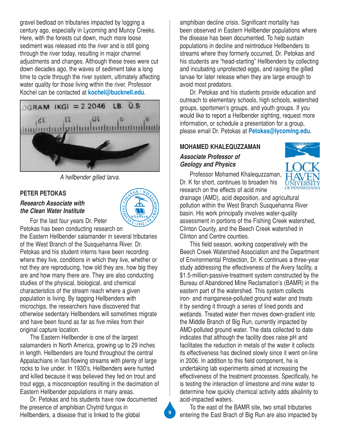gravel bedload on tributaries impacted by logging a century ago, especially in Lycoming and Muncy Creeks. Here, with the forests cut down, much more loose sediment was released into the river and is still going through the river today, resulting in major channel adjustments and changes. Although these trees were cut down decades ago, the waves of sediment take a long time to cycle through the river system, ultimately affecting water quality for those living within the river. Professor Kochel can be contacted at **kochel@bucknell.edu**.



*A hellbender gilled larva.*

### **PETER PETOKAS**

#### *Research Associate with the Clean Water Institute*



For the last four years Dr. Peter

Petokas has been conducting research on the Eastern Hellbender salamander in several tributaries of the West Branch of the Susquehanna River. Dr. Petokas and his student interns have been recording where they live, conditions in which they live, whether or not they are reproducing, how old they are, how big they are and how many there are. They are also conducting studies of the physical, biological, and chemical characteristics of the stream reach where a given population is living. By tagging Hellbenders with microchips, the researchers have discovered that otherwise sedentary Hellbenders will sometimes migrate and have been found as far as five miles from their original capture location.

The Eastern Hellbender is one of the largest salamanders in North America, growing up to 29 inches in length. Hellbenders are found throughout the central Appalachians in fast-flowing streams with plenty of large rocks to live under. In 1930's, Hellbenders were hunted and killed because it was believed they fed on trout and trout eggs, a misconception resulting in the decimation of Eastern Hellbender populations in many areas.

Dr. Petokas and his students have now documented the presence of amphibian Chytrid fungus in Hellbenders, a disease that is linked to the global

amphibian decline crisis. Significant mortality has been observed in Eastern Hellbender populations where the disease has been documented. To help sustain populations in decline and reintroduce Hellbenders to streams where they formerly occurred, Dr. Petokas and his students are "head-starting" Hellbenders by collecting and incubating unprotected eggs, and raising the gilled larvae for later release when they are large enough to avoid most predators.

Dr. Petokas and his students provide education and outreach to elementary schools, high schools, watershed groups, sportsmen's groups, and youth groups. If you would like to report a Hellbender sighting, request more information, or schedule a presentation for a group, please email Dr. Petokas at **Petokas@lycoming.edu**.

## **MOHAMED KHALEQUZZAMAN**

### *Associate Professor of Geology and Physics*

Professor Mohamed Khalequzzaman, Dr. K for short, continues to broaden his research on the effects of acid mine



drainage (AMD), acid deposition, and agricultural pollution within the West Branch Susquehanna River basin. His work principally involves water-quality assessment in portions of the Fishing Creek watershed, Clinton County, and the Beech Creek watershed in Clinton and Centre counties.

This field season, working cooperatively with the Beech Creek Watershed Association and the Department of Environmental Protection, Dr. K continues a three-year study addressing the effectiveness of the Avery facility, a \$1.5-million-passive-treatment system constructed by the Bureau of Abandoned Mine Reclamation's (BAMR) in the eastern part of the watershed. This system collects iron- and manganese-polluted ground water and treats it by sending it through a series of lined ponds and wetlands. Treated water then moves down-gradient into the Middle Branch of Big Run, currently impacted by AMD-polluted ground water. The data collected to date indicates that although the facility does raise pH and facilitates the reduction in metals of the water it collects its effectiveness has declined slowly since it went on-line in 2006. In addition to this field component, he is undertaking lab experiments aimed at increasing the effectiveness of the treatment processes. Specifically, he is testing the interaction of limestone and mine water to determine how quickly chemical activity adds alkalinity to acid-impacted waters.

To the east of the BAMR site, two small tributaries entering the East Brach of Big Run are also impacted by

**9**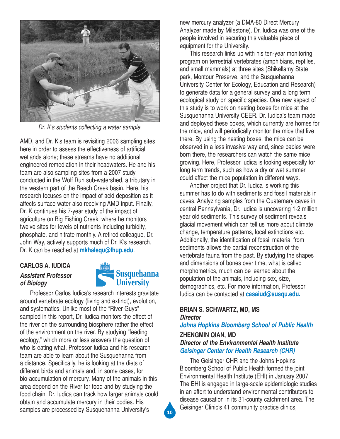

*Dr. K's students collecting a water sample.* 

AMD, and Dr. K's team is revisiting 2006 sampling sites here in order to assess the effectiveness of artificial wetlands alone; these streams have no additional engineered remediation in their headwaters. He and his team are also sampling sites from a 2007 study conducted in the Wolf Run sub-watershed, a tributary in the western part of the Beech Creek basin. Here, his research focuses on the impact of acid deposition as it affects surface water also receiving AMD input. Finally, Dr. K continues his 7-year study of the impact of agriculture on Big Fishing Creek, where he monitors twelve sites for levels of nutrients including turbidity, phosphate, and nitrate monthly. A retired colleague, Dr. John Way, actively supports much of Dr. K's research. Dr. K can be reached at **mkhalequ@lhup.edu**.

## **CARLOS A. IUDICA** *Assistant Professor of Biology*



Professor Carlos Iudica's research interests gravitate around vertebrate ecology (living and extinct), evolution, and systematics. Unlike most of the "River Guys" sampled in this report, Dr. Iudica monitors the effect of the river on the surrounding biosphere rather the effect of the environment on the river. By studying "feeding ecology," which more or less answers the question of who is eating what, Professor Iudica and his research team are able to learn about the Susquehanna from a distance. Specifically, he is looking at the diets of different birds and animals and, in some cases, for bio-accumulation of mercury. Many of the animals in this area depend on the River for food and by studying the food chain, Dr. Iudica can track how larger animals could obtain and accumulate mercury in their bodies. His samples are processed by Susquehanna University's

new mercury analyzer (a DMA-80 Direct Mercury Analyzer made by Milestone). Dr. Iudica was one of the people involved in securing this valuable piece of equipment for the University.

This research links up with his ten-year monitoring program on terrestrial vertebrates (amphibians, reptiles, and small mammals) at three sites (Shikellamy State park, Montour Preserve, and the Susquehanna University Center for Ecology, Education and Research) to generate data for a general survey and a long term ecological study on specific species. One new aspect of this study is to work on nesting boxes for mice at the Susquehanna University CEER. Dr. Iudica's team made and deployed these boxes, which currently are homes for the mice, and will periodically monitor the mice that live there. By using the nesting boxes, the mice can be observed in a less invasive way and, since babies were born there, the researchers can watch the same mice growing. Here, Professor Iudica is looking especially for long term trends, such as how a dry or wet summer could affect the mice population in different ways.

Another project that Dr. Iudica is working this summer has to do with sediments and fossil materials in caves. Analyzing samples from the Quaternary caves in central Pennsylvania, Dr. Iudica is uncovering 1-2 million year old sediments. This survey of sediment reveals glacial movement which can tell us more about climate change, temperature patterns, local extinctions etc. Additionally, the identification of fossil material from sediments allows the partial reconstruction of the vertebrate fauna from the past. By studying the shapes and dimensions of bones over time, what is called morphometrics, much can be learned about the population of the animals, including sex, size, demographics, etc. For more information, Professor Iudica can be contacted at **casaiud@susqu.edu.**

#### **BRIAN S. SCHWARTZ, MD, MS**  *Director*

## *Johns Hopkins Bloomberg School of Public Health*

#### **ZHENGMIN QIAN, MD**  *Director of the Environmental Health Institute Geisinger Center for Health Research (CHR)*

The Geisinger CHR and the Johns Hopkins Bloomberg School of Public Health formed the joint Environmental Health Institute (EHI) in January 2007. The EHI is engaged in large-scale epidemiologic studies in an effort to understand environmental contributors to disease causation in its 31-county catchment area. The Geisinger Clinic's 41 community practice clinics,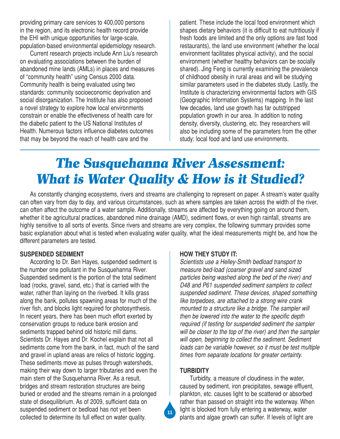providing primary care services to 400,000 persons in the region, and its electronic health record provide the EHI with unique opportunities for large-scale, population-based environmental epidemiology research.

Current research projects include Ann Liu's research on evaluating associations between the burden of abandoned mine lands (AMLs) in places and measures of "community health" using Census 2000 data. Community health is being evaluated using two standards: community socioeconomic deprivation and social disorganization. The Institute has also proposed a novel strategy to explore how local environments constrain or enable the effectiveness of health care for the diabetic patient to the US National Institutes of Health. Numerous factors influence diabetes outcomes that may be beyond the reach of health care and the

patient. These include the local food environment which shapes dietary behaviors (it is difficult to eat nutritiously if fresh foods are limited and the only options are fast food restaurants), the land use environment (whether the local environment facilitates physical activity), and the social environment (whether healthy behaviors can be socially shared). Jing Feng is currently examining the prevalence of childhood obesity in rural areas and will be studying similar parameters used in the diabetes study. Lastly, the Institute is characterizing environmental factors with GIS (Geographic Information Systems) mapping. In the last few decades, land use growth has far outstripped population growth in our area. In addition to noting density, diversity, clustering, etc. they researchers will also be including some of the parameters from the other study: local food and land use environments.

## *The Susquehanna River Assessment: What is Water Quality & How is it Studied?*

As constantly changing ecosystems, rivers and streams are challenging to represent on paper. A stream's water quality can often vary from day to day, and various circumstances, such as where samples are taken across the width of the river, can often affect the outcome of a water sample. Additionally, streams are affected by everything going on around them, whether it be agricultural practices, abandoned mine drainage (AMD), sediment flows, or even high rainfall, streams are highly sensitive to all sorts of events. Since rivers and streams are very complex, the following summary provides some basic explanation about what is tested when evaluating water quality, what the ideal measurements might be, and how the different parameters are tested.

#### **SUSPENDED SEDIMENT**

According to Dr. Ben Hayes, suspended sediment is the number one pollutant in the Susquehanna River. Suspended sediment is the portion of the total sediment load (rocks, gravel, sand, etc.) that is carried with the water, rather than laying on the riverbed. It kills grass along the bank, pollutes spawning areas for much of the river fish, and blocks light required for photosynthesis. In recent years, there has been much effort exerted by conservation groups to reduce bank erosion and sediments trapped behind old historic mill dams. Scientists Dr. Hayes and Dr. Kochel explain that not all sediments come from the bank, in fact, much of the sand and gravel in upland areas are relics of historic logging. These sediments move as pulses through watersheds, making their way down to larger tributaries and even the main stem of the Susquehanna River. As a result, bridges and stream restoration structures are being buried or eroded and the streams remain in a prolonged state of disequilibrium. As of 2009, sufficient data on suspended sediment or bedload has not yet been collected to determine its full effect on water quality.

## **HOW THEY STUDY IT:**

*Scientists use a Helley-Smith bedload transport to measure bed-load (coarser gravel and sand sized particles being washed along the bed of the river) and D48 and P61 suspended sediment samplers to collect suspended sediment. These devices, shaped something like torpedoes, are attached to a strong wire crank mounted to a structure like a bridge. The sampler will then be lowered into the water to the specific depth required (if testing for suspended sediment the sampler will be closer to the top of the river) and then the sampler will open, beginning to collect the sediment. Sediment loads can be variable however, so it must be test multiple times from separate locations for greater certainty.*

#### **TURBIDITY**

**11**

Turbidity, a measure of cloudiness in the water, caused by sediment, iron precipitates, sewage effluent, plankton, etc. causes light to be scattered or absorbed rather than passed on straight into the waterway. When light is blocked from fully entering a waterway, water plants and algae growth can suffer. If levels of light are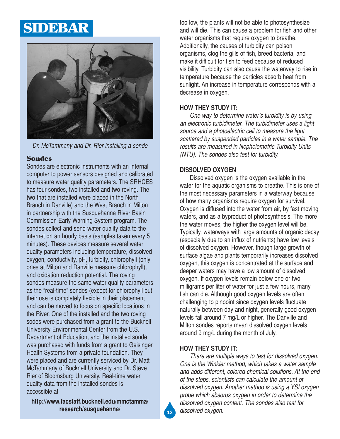## SIDEBAR



*Dr. McTammany and Dr. Rier installing a sonde*

### Sondes

Sondes are electronic instruments with an internal computer to power sensors designed and calibrated to measure water quality parameters. The SRHCES has four sondes, two installed and two roving. The two that are installed were placed in the North Branch in Danville) and the West Branch in Milton in partnership with the Susquehanna River Basin Commission Early Warning System program. The sondes collect and send water quality data to the internet on an hourly basis (samples taken every 5 minutes). These devices measure several water quality parameters including temperature, dissolved oxygen, conductivity, pH, turbidity, chlorophyll (only ones at Milton and Danville measure chlorophyll), and oxidation reduction potential. The roving sondes measure the same water quality parameters as the "real-time" sondes (except for chlorophyll but their use is completely flexible in their placement and can be moved to focus on specific locations in the River. One of the installed and the two roving sodes were purchased from a grant to the Bucknell University Environmental Center from the U.S. Department of Education, and the installed sonde was purchased with funds from a grant to Geisinger Health Systems from a private foundation. They were placed and are currently serviced by Dr. Matt McTammany of Bucknell University and Dr. Steve Rier of Bloomsburg University. Real-time water quality data from the installed sondes is accessible at

**http://www.facstaff.bucknell.edu/mmctamma/ research/susquehanna/**

too low, the plants will not be able to photosynthesize and will die. This can cause a problem for fish and other water organisms that require oxygen to breathe. Additionally, the causes of turbidity can poison organisms, clog the gills of fish, breed bacteria, and make it difficult for fish to feed because of reduced visibility. Turbidity can also cause the waterway to rise in temperature because the particles absorb heat from sunlight. An increase in temperature corresponds with a decrease in oxygen.

## **HOW THEY STUDY IT:**

*One way to determine water's turbidity is by using an electronic turbidimeter. The turbidimeter uses a light source and a photoelectric cell to measure the light scattered by suspended particles in a water sample. The results are measured in Nephelometric Turbidity Units (NTU). The sondes also test for turbidity.*

## **DISSOLVED OXYGEN**

Dissolved oxygen is the oxygen available in the water for the aquatic organisms to breathe. This is one of the most necessary parameters in a waterway because of how many organisms require oxygen for survival. Oxygen is diffused into the water from air, by fast moving waters, and as a byproduct of photosynthesis. The more the water moves, the higher the oxygen level will be. Typically, waterways with large amounts of organic decay (especially due to an influx of nutrients) have low levels of dissolved oxygen. However, though large growth of surface algae and plants temporarily increases dissolved oxygen, this oxygen is concentrated at the surface and deeper waters may have a low amount of dissolved oxygen. If oxygen levels remain below one or two milligrams per liter of water for just a few hours, many fish can die. Although good oxygen levels are often challenging to pinpoint since oxygen levels fluctuate naturally between day and night, generally good oxygen levels fall around 7 mg/L or higher. The Danville and Milton sondes reports mean dissolved oxygen levels around 9 mg/L during the month of July.

## **HOW THEY STUDY IT:**

*There are multiple ways to test for dissolved oxygen. One is the Winkler method, which takes a water sample and adds different, colored chemical solutions. At the end of the steps, scientists can calculate the amount of dissolved oxygen. Another method is using a YSI oxygen probe which absorbs oxygen in order to determine the dissolved oxygen content. The sondes also test for dissolved oxygen.*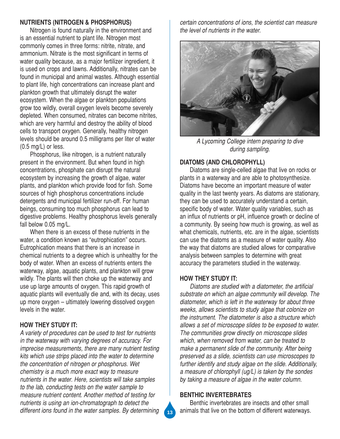#### **NUTRIENTS (NITROGEN & PHOSPHORUS)**

Nitrogen is found naturally in the environment and is an essential nutrient to plant life. Nitrogen most commonly comes in three forms: nitrite, nitrate, and ammonium. Nitrate is the most significant in terms of water quality because, as a major fertilizer ingredient, it is used on crops and lawns. Additionally, nitrates can be found in municipal and animal wastes. Although essential to plant life, high concentrations can increase plant and plankton growth that ultimately disrupt the water ecosystem. When the algae or plankton populations grow too wildly, overall oxygen levels become severely depleted. When consumed, nitrates can become nitrites, which are very harmful and destroy the ability of blood cells to transport oxygen. Generally, healthy nitrogen levels should be around 0.5 milligrams per liter of water (0.5 mg/L) or less.

Phosphorus, like nitrogen, is a nutrient naturally present in the environment. But when found in high concentrations, phosphate can disrupt the natural ecosystem by increasing the growth of algae, water plants, and plankton which provide food for fish. Some sources of high phosphorus concentrations include detergents and municipal fertilizer run-off. For human beings, consuming too much phosphorus can lead to digestive problems. Healthy phosphorus levels generally fall below 0.05 mg/L.

When there is an excess of these nutrients in the water, a condition known as "eutrophication" occurs. Eutrophication means that there is an increase in chemical nutrients to a degree which is unhealthy for the body of water. When an excess of nutrients enters the waterway, algae, aquatic plants, and plankton will grow wildly. The plants will then choke up the waterway and use up large amounts of oxygen. This rapid growth of aquatic plants will eventually die and, with its decay, uses up more oxygen – ultimately lowering dissolved oxygen levels in the water.

## **HOW THEY STUDY IT:**

*A variety of procedures can be used to test for nutrients in the waterway with varying degrees of accuracy. For imprecise measurements, there are many nutrient testing kits which use strips placed into the water to determine the concentration of nitrogen or phosphorus. Wet chemistry is a much more exact way to measure nutrients in the water. Here, scientists will take samples to the lab, conducting tests on the water sample to measure nutrient content. Another method of testing for nutrients is using an ion-chromatograph to detect the different ions found in the water samples. By determining*

*certain concentrations of ions, the scientist can measure the level of nutrients in the water.*



*A Lycoming College intern preparing to dive during sampling.* 

### **DIATOMS (AND CHLOROPHYLL)**

Diatoms are single-celled algae that live on rocks or plants in a waterway and are able to photosynthesize. Diatoms have become an important measure of water quality in the last twenty years. As diatoms are stationary, they can be used to accurately understand a certain, specific body of water. Water quality variables, such as an influx of nutrients or pH, influence growth or decline of a community. By seeing how much is growing, as well as what chemicals, nutrients, etc. are in the algae, scientists can use the diatoms as a measure of water quality. Also the way that diatoms are studied allows for comparative analysis between samples to determine with great accuracy the parameters studied in the waterway.

#### **HOW THEY STUDY IT:**

*Diatoms are studied with a diatometer, the artificial substrate on which an algae community will develop. The diatometer, which is left in the waterway for about three weeks, allows scientists to study algae that colonize on the instrument. The diatometer is also a structure which allows a set of microscope slides to be exposed to water. The communities grow directly on microscope slides which, when removed from water, can be treated to make a permanent slide of the community. After being preserved as a slide, scientists can use microscopes to further identify and study algae on the slide. Additionally, a measure of chlorophyll (ug/L) is taken by the sondes by taking a measure of algae in the water column.*

#### **BENTHIC INVERTEBRATES**

Benthic invertebrates are insects and other small animals that live on the bottom of different waterways.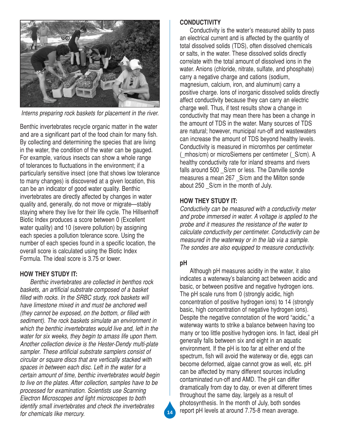

*Interns preparing rock baskets for placement in the river.* 

Benthic invertebrates recycle organic matter in the water and are a significant part of the food chain for many fish. By collecting and determining the species that are living in the water, the condition of the water can be gauged. For example, various insects can show a whole range of tolerances to fluctuations in the environment; if a particularly sensitive insect (one that shows low tolerance to many changes) is discovered at a given location, this can be an indicator of good water quality. Benthic invertebrates are directly affected by changes in water quality and, generally, do not move or migrate—stably staying where they live for their life cycle. The Hillsenhoff Biotic Index produces a score between 0 (Excellent water quality) and 10 (severe pollution) by assigning each species a pollution tolerance score. Using the number of each species found in a specific location, the overall score is calculated using the Biotic Index Formula. The ideal score is 3.75 or lower.

## **HOW THEY STUDY IT:**

*Benthic invertebrates are collected in benthos rock baskets, an artificial substrate composed of a basket filled with rocks. In the SRBC study, rock baskets will have limestone mixed in and must be anchored well (they cannot be exposed, on the bottom, or filled with sediment). The rock baskets simulate an environment in which the benthic invertebrates would live and, left in the water for six weeks, they begin to amass life upon them. Another collection device is the Hester-Dendy multi-plate sampler. These artificial substrate samplers consist of circular or square discs that are vertically stacked with spaces in between each disc. Left in the water for a certain amount of time, benthic invertebrates would begin to live on the plates. After collection, samples have to be processed for examination. Scientists use Scanning Electron Microscopes and light microscopes to both identify small invertebrates and check the invertebrates for chemicals like mercury.*

#### **CONDUCTIVITY**

Conductivity is the water's measured ability to pass an electrical current and is affected by the quantity of total dissolved solids (TDS), often dissolved chemicals or salts, in the water. These dissolved solids directly correlate with the total amount of dissolved ions in the water. Anions (chloride, nitrate, sulfate, and phosphate) carry a negative charge and cations (sodium, magnesium, calcium, iron, and aluminum) carry a positive charge. Ions of inorganic dissolved solids directly affect conductivity because they can carry an electric charge well. Thus, if test results show a change in conductivity that may mean there has been a change in the amount of TDS in the water. Many sources of TDS are natural; however, municipal run-off and wastewaters can increase the amount of TDS beyond healthy levels. Conductivity is measured in micromhos per centimeter (\_mhos/cm) or microSiemens per centimeter (\_S/cm). A healthy conductivity rate for inland streams and rivers falls around 500 S/cm or less. The Danville sonde measures a mean 267 S/cm and the Milton sonde about 250 \_S/cm in the month of July.

## **HOW THEY STUDY IT:**

*Conductivity can be measured with a conductivity meter and probe immersed in water. A voltage is applied to the probe and it measures the resistance of the water to calculate conductivity per centimeter. Conductivity can be measured in the waterway or in the lab via a sample. The sondes are also equipped to measure conductivity.*

## **pH**

Although pH measures acidity in the water, it also indicates a waterway's balancing act between acidic and basic, or between positive and negative hydrogen ions. The pH scale runs from 0 (strongly acidic, high concentration of positive hydrogen ions) to 14 (strongly basic, high concentration of negative hydrogen ions). Despite the negative connotation of the word "acidic," a waterway wants to strike a balance between having too many or too little positive hydrogen ions. In fact, ideal pH generally falls between six and eight in an aquatic environment. If the pH is too far at either end of the spectrum, fish will avoid the waterway or die, eggs can become deformed, algae cannot grow as well, etc. pH can be affected by many different sources including contaminated run-off and AMD. The pH can differ dramatically from day to day, or even at different times throughout the same day, largely as a result of photosynthesis. In the month of July, both sondes report pH levels at around 7.75-8 mean average.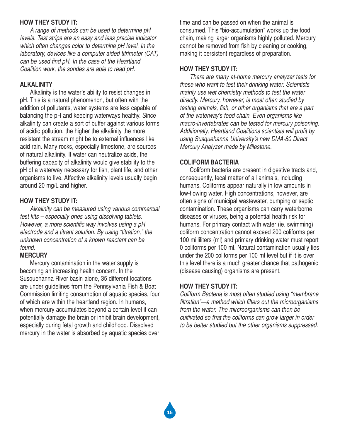### **HOW THEY STUDY IT:**

*A range of methods can be used to determine pH levels. Test strips are an easy and less precise indicator which often changes color to determine pH level. In the laboratory, devices like a computer aided titrimeter (CAT) can be used find pH. In the case of the Heartland Coalition work, the sondes are able to read pH.*

#### **ALKALINITY**

Alkalinity is the water's ability to resist changes in pH. This is a natural phenomenon, but often with the addition of pollutants, water systems are less capable of balancing the pH and keeping waterways healthy. Since alkalinity can create a sort of buffer against various forms of acidic pollution, the higher the alkalinity the more resistant the stream might be to external influences like acid rain. Many rocks, especially limestone, are sources of natural alkalinity. If water can neutralize acids, the buffering capacity of alkalinity would give stability to the pH of a waterway necessary for fish, plant life, and other organisms to live. Affective alkalinity levels usually begin around 20 mg/L and higher.

### **HOW THEY STUDY IT:**

*Alkalinity can be measured using various commercial test kits – especially ones using dissolving tablets. However, a more scientific way involves using a pH electrode and a titrant solution. By using "titration," the unknown concentration of a known reactant can be found.* 

## **MERCURY**

Mercury contamination in the water supply is becoming an increasing health concern. In the Susquehanna River basin alone, 35 different locations are under guidelines from the Pennsylvania Fish & Boat Commission limiting consumption of aquatic species, four of which are within the heartland region. In humans, when mercury accumulates beyond a certain level it can potentially damage the brain or inhibit brain development, especially during fetal growth and childhood. Dissolved mercury in the water is absorbed by aquatic species over

time and can be passed on when the animal is consumed. This "bio-accumulation" works up the food chain, making larger organisms highly polluted. Mercury cannot be removed from fish by cleaning or cooking, making it persistent regardless of preparation.

### **HOW THEY STUDY IT:**

*There are many at-home mercury analyzer tests for those who want to test their drinking water. Scientists mainly use wet chemistry methods to test the water directly. Mercury, however, is most often studied by testing animals, fish, or other organisms that are a part of the waterway's food chain. Even organisms like macro-invertebrates can be tested for mercury poisoning. Additionally, Heartland Coalitions scientists will profit by using Susquehanna University's new DMA-80 Direct Mercury Analyzer made by Milestone.* 

## **COLIFORM BACTERIA**

Coliform bacteria are present in digestive tracts and, consequently, fecal matter of all animals, including humans. Coliforms appear naturally in low amounts in low-flowing water. High concentrations, however, are often signs of municipal wastewater, dumping or septic contamination. These organisms can carry waterborne diseases or viruses, being a potential health risk for humans. For primary contact with water (ie. swimming) coliform concentration cannot exceed 200 coliforms per 100 milliliters (ml) and primary drinking water must report 0 coliforms per 100 ml. Natural contamination usually lies under the 200 coliforms per 100 ml level but if it is over this level there is a much greater chance that pathogenic (disease causing) organisms are present.

## **HOW THEY STUDY IT:**

*Coliform Bacteria is most often studied using "membrane filtration"—a method which filters out the microorganisms from the water. The mircroorganisms can then be cultivated so that the coliforms can grow larger in order to be better studied but the other organisms suppressed.*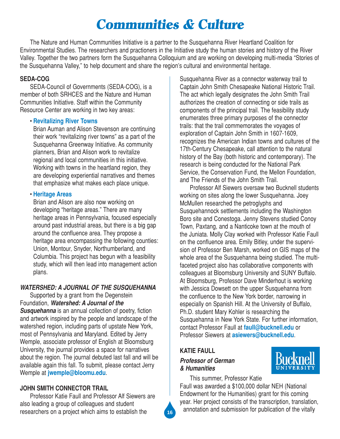## *Communities & Culture*

The Nature and Human Communities Initiative is a partner to the Susquehanna River Heartland Coalition for Environmental Studies. The researchers and practioners in the Initiative study the human stories and history of the River Valley. Together the two partners form the Susquehanna Colloquium and are working on developing multi-media "Stories of the Susquehanna Valley," to help document and share the region's cultural and environmental heritage.

## **SEDA-COG**

SEDA-Council of Governments (SEDA-COG), is a member of both SRHCES and the Nature and Human Communities Initiative. Staff within the Community Resource Center are working in two key areas:

## • **Revitalizing River Towns**

Brian Auman and Alison Stevenson are continuing their work "revitalizing river towns" as a part of the Susquehanna Greenway Initiative. As community planners, Brian and Alison work to revitalize regional and local communities in this initiative. Working with towns in the heartland region, they are developing experiential narratives and themes that emphasize what makes each place unique.

## • **Heritage Areas**

Brian and Alison are also now working on developing "heritage areas." There are many heritage areas in Pennsylvania, focused especially around past industrial areas, but there is a big gap around the confluence area. They propose a heritage area encompassing the following counties: Union, Montour, Snyder, Northumberland, and Columbia. This project has begun with a feasibility study, which will then lead into management action plans.

## *WATERSHED: A JOURNAL OF THE SUSQUEHANNA*

Supported by a grant from the Degenstein Foundation, *Watershed: A Journal of the* **Susquehanna** is an annual collection of poetry, fiction and artwork inspired by the people and landscape of the watershed region, including parts of upstate New York, most of Pennsylvania and Maryland. Edited by Jerry Wemple, associate professor of English at Bloomsburg University, the journal provides a space for narratives about the region. The journal debuted last fall and will be available again this fall. To submit, please contact Jerry Wemple at **jwemple@bloomu.edu**.

## **JOHN SMITH CONNECTOR TRAIL**

Professor Katie Faull and Professor Alf Siewers are also leading a group of colleagues and student researchers on a project which aims to establish the

Susquehanna River as a connector waterway trail to Captain John Smith Chesapeake National Historic Trail. The act which legally designates the John Smith Trail authorizes the creation of connecting or side trails as components of the principal trail. The feasibility study enumerates three primary purposes of the connector trails: that the trail commemorates the voyages of exploration of Captain John Smith in 1607-1609, recognizes the American Indian towns and cultures of the 17th-Century Chesapeake, call attention to the natural history of the Bay (both historic and contemporary). The research is being conducted for the National Park Service, the Conservation Fund, the Mellon Foundation, and The Friends of the John Smith Trail.

Professor Alf Siewers oversaw two Bucknell students working on sites along the lower Susquehanna. Joey McMullen researched the petroglyphs and Susquehannock settlements including the Washington Boro site and Conestoga. Jenny Stevens studied Conoy Town, Paxtang, and a Nanticoke town at the mouth of the Juniata. Molly Clay worked with Professor Katie Faull on the confluence area. Emily Bitley, under the supervision of Professor Ben Marsh, worked on GIS maps of the whole area of the Susquehanna being studied. The multifaceted project also has collaborative components with colleagues at Bloomsburg University and SUNY Buffalo. At Bloomsburg, Professor Dave Minderhout is working with Jessica Dowsett on the upper Susquehanna from the confluence to the New York border, narrowing in especially on Spanish Hill. At the University of Buffalo, Ph.D. student Mary Kohler is researching the Susquehanna in New York State. For further information, contact Professor Faull at **faull@bucknell.edu** or Professor Siewers at **asiewers@bucknell.edu**.

## **KATIE FAULL**

## *Professor of German & Humanities*



This summer, Professor Katie

Faull was awarded a \$100,000 dollar NEH (National Endowment for the Humanities) grant for this coming year. Her project consists of the transcription, translation, annotation and submission for publication of the vitally **<sup>16</sup>**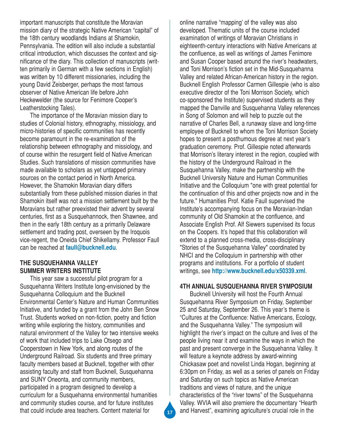important manuscripts that constitute the Moravian mission diary of the strategic Native American "capital" of the 18th century woodlands Indians at Shamokin, Pennsylvania. The edition will also include a substantial critical introduction, which discusses the context and significance of the diary. This collection of manuscripts (written primarily in German with a few sections in English) was written by 10 different missionaries, including the young David Zeisberger, perhaps the most famous observer of Native American life before John Heckewelder (the source for Fenimore Cooper's Leatherstocking Tales).

The importance of the Moravian mission diary to studies of Colonial history, ethnography, missiology, and micro-histories of specific communities has recently become paramount in the re-examination of the relationship between ethnography and missiology, and of course within the resurgent field of Native American Studies. Such translations of mission communities have made available to scholars as yet untapped primary sources on the contact period in North America. However, the Shamokin Moravian diary differs substantially from these published mission diaries in that Shamokin itself was not a mission settlement built by the Moravians but rather preexisted their advent by several centuries, first as a Susquehannock, then Shawnee, and then in the early 18th century as a primarily Delaware settlement and trading post, overseen by the Iroquois vice-regent, the Oneida Chief Shikellamy. Professor Faull can be reached at **faull@bucknell.edu**.

### **THE SUSQUEHANNA VALLEY SUMMER WRITERS INSTITUTE**

This year saw a successful pilot program for a Susquehanna Writers Institute long-envisioned by the Susquehanna Colloquium and the Bucknell Environmental Center's Nature and Human Communities Initiative, and funded by a grant from the John Ben Snow Trust. Students worked on non-fiction, poetry and fiction writing while exploring the history, communities and natural environment of the Valley for two intensive weeks of work that included trips to Lake Otsego and Cooperstown in New York, and along routes of the Underground Railroad. Six students and three primary faculty members based at Bucknell, together with other assisting faculty and staff from Bucknell, Susquehanna and SUNY Oneonta, and community members, participated in a program designed to develop a curriculum for a Susquehanna environmental humanities and community studies course, and for future institutes that could include area teachers. Content material for

online narrative "mapping' of the valley was also developed. Thematic units of the course included examination of writings of Moravian Christians in eighteenth-century interactions with Native Americans at the confluence, as well as writings of James Fenimore and Susan Cooper based around the river's headwaters, and Toni Morrison's fiction set in the Mid-Susquehanna Valley and related African-American history in the region. Bucknell English Professor Carmen Gillespie (who is also executive director of the Toni Morrison Society, which co-sponsored the Institute) supervised students as they mapped the Danville and Susquehanna Valley references in Song of Solomon and will help to puzzle out the narrative of Charles Bell, a runaway slave and long-time employee of Bucknell to whom the Toni Morrison Society hopes to present a posthumous degree at next year's graduation ceremony. Prof. Gillespie noted afterwards that Morrison's literary interest in the region, coupled with the history of the Underground Railroad in the Susquehanna Valley, make the partnership with the Bucknell University Nature and Human Communities Initiative and the Colloquium "one with great potential for the continuation of this and other projects now and in the future." Humanities Prof. Katie Faull supervised the Institute's accompanying focus on the Moravian-Indian community of Old Shamokin at the confluence, and Associate English Prof. Alf Siewers supervised its focus on the Coopers. It's hoped that this collaboration will extend to a planned cross-media, cross-disciplinary "Stories of the Susquehanna Valley" coordinated by NHCI and the Colloquium in partnership with other programs and institutions. For a portfolio of student writings, see **http://www.bucknell.edu/x50339.xml**.

#### **4TH ANNUAL SUSQUEHANNA RIVER SYMPOSIUM**

Bucknell University will host the Fourth Annual Susquehanna River Symposium on Friday, September 25 and Saturday, September 26. This year's theme is "Cultures at the Confluence: Native Americans, Ecology, and the Susquehanna Valley." The symposium will highlight the river's impact on the culture and lives of the people living near it and examine the ways in which the past and present converge in the Susquehanna Valley. It will feature a keynote address by award-winning Chickasaw poet and novelist Linda Hogan, beginning at 6:30pm on Friday, as well as a series of panels on Friday and Saturday on such topics as Native American traditions and views of nature, and the unique characteristics of the "river towns" of the Susquehanna Valley. WVIA will also premiere the documentary "Hearth and Harvest", examining agriculture's crucial role in the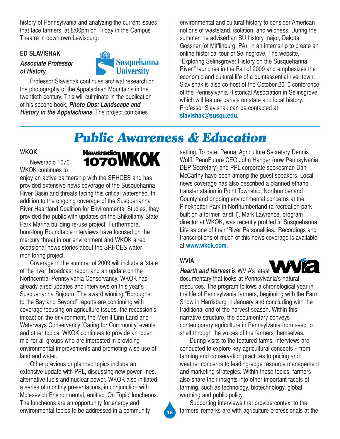history of Pennsylvania and analyzing the current issues that face farmers, at 8:00pm on Friday in the Campus Theatre in downtown Lewisburg.

#### **ED SLAVISHAK**

## *Associate Professor of History*



Professor Slavishak continues archival research on the photography of the Appalachian Mountains in the twentieth century. This will culminate in the publication of his second book, *Photo Ops: Landscape and History in the Appalachians*. The project combines

environmental and cultural history to consider American notions of wasteland, isolation, and wildness. During the summer, he advised an SU history major, Dakota Gessner (of Mifflinburg, PA), in an internship to create an online historical tour of Selinsgrove. The website, "Exploring Selinsgrove: History on the Susquehanna River," launches in the Fall of 2009 and emphasizes the economic and cultural life of a quintessential river town. Slavishak is also co-host of the October 2010 conference of the Pennsylvania Historical Association in Selinsgrove, which will feature panels on state and local history. Professor Slavishak can be contacted at **slavishak@susqu.edu**.

## *Public Awareness & Education*

#### **WKOK**

Newsradio 1070 WKOK continues to



enjoy an active partnership with the SRHCES and has provided extensive news coverage of the Susquehanna River Basin and threats facing this critical watershed. In addition to the ongoing coverage of the Susquehanna River Heartland Coalition for Environmental Studies, they provided the public with updates on the Shikellamy State Park Marina building re-use project. Furthermore, hour-long Roundtable interviews have focused on the mercury threat in our environment and WKOK aired occasional news stories about the SRHCES water monitoring project.

Coverage in the summer of 2009 will include a 'state of the river' broadcast report and an update on the Northcentral Pennsylvania Conservancy. WKOK has already aired updates and interviews on this year's Susquehanna Sojourn. The award winning "Boroughs to the Bay and Beyond" reports are continuing with coverage focusing on agriculture issues, the recession's impact on the environment, the Merrill Linn Land and Waterways Conservancy 'Caring for Community' events and other topics. WKOK continues to provide an 'open mic' for all groups who are interested in providing environmental improvements and promoting wise use of land and water.

Other previous or planned topics include an extensive update with PPL, discussing new power lines, alternative fuels and nuclear power. WKOK also initiated a series of monthly presentations, in conjunction with Molesevich Environmental, entitled 'On Topic' luncheons. The luncheons are an opportunity for energy and environmental topics to be addressed in a community

setting. To date, Penna. Agriculture Secretary Dennis Wolff, PennFuture CEO John Hanger (now Pennsylvania DEP Secretary) and PPL corporate spokesman Dan McCarthy have been among the guest speakers. Local news coverage has also described a planned ethanol transfer station in Point Township, Northumberland County and ongoing environmental concerns at the Pineknotter Park in Northumberland (a recreation park built on a former landfill). Mark Lawrence, program director at WKOK, was recently profiled in Susquehanna Life as one of their 'River Personalities.' Recordings and transcriptions of much of this news coverage is available at **www.wkok.com**.

## **WVIA**

*Hearth and Harvest* is WVIA's latest



documentary that looks at Pennsylvania's natural resources. The program follows a chronological year in the life of Pennsylvania farmers, beginning with the Farm Show in Harrisburg in January and concluding with the traditional end of the harvest season. Within this narrative structure, the documentary conveys contemporary agriculture in Pennsylvania from seed to shelf through the voices of the farmers themselves.

During visits to the featured farms, interviews are conducted to explore key agricultural concepts – from farming and conservation practices to pricing and weather concerns to leading-edge resource management and marketing strategies. Within these topics, farmers also share their insights into other important facets of farming, such as technology, biotechnology, global warming and public policy.

Supporting interviews that provide context to the farmers' remarks are with agriculture professionals at the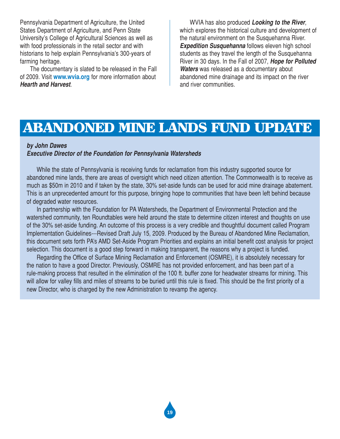Pennsylvania Department of Agriculture, the United States Department of Agriculture, and Penn State University's College of Agricultural Sciences as well as with food professionals in the retail sector and with historians to help explain Pennsylvania's 300-years of farming heritage.

The documentary is slated to be released in the Fall of 2009. Visit **www.wvia.org** for more information about *Hearth and Harvest*.

WVIA has also produced *Looking to the River*, which explores the historical culture and development of the natural environment on the Susquehanna River. *Expedition Susquehanna* follows eleven high school students as they travel the length of the Susquehanna River in 30 days. In the Fall of 2007, *Hope for Polluted Waters* was released as a documentary about abandoned mine drainage and its impact on the river and river communities.

## ABANDONED MINE LANDS FUND UPDATE

#### *by John Dawes*

#### *Executive Director of the Foundation for Pennsylvania Watersheds*

While the state of Pennsylvania is receiving funds for reclamation from this industry supported source for abandoned mine lands, there are areas of oversight which need citizen attention. The Commonwealth is to receive as much as \$50m in 2010 and if taken by the state, 30% set-aside funds can be used for acid mine drainage abatement. This is an unprecedented amount for this purpose, bringing hope to communities that have been left behind because of degraded water resources.

In partnership with the Foundation for PA Watersheds, the Department of Environmental Protection and the watershed community, ten Roundtables were held around the state to determine citizen interest and thoughts on use of the 30% set-aside funding. An outcome of this process is a very credible and thoughtful document called Program Implementation Guidelines---Revised Draft July 15, 2009. Produced by the Bureau of Abandoned Mine Reclamation, this document sets forth PA's AMD Set-Aside Program Priorities and explains an initial benefit cost analysis for project selection. This document is a good step forward in making transparent, the reasons why a project is funded.

Regarding the Office of Surface Mining Reclamation and Enforcement (OSMRE), it is absolutely necessary for the nation to have a good Director. Previously, OSMRE has not provided enforcement, and has been part of a rule-making process that resulted in the elimination of the 100 ft. buffer zone for headwater streams for mining. This will allow for valley fills and miles of streams to be buried until this rule is fixed. This should be the first priority of a new Director, who is charged by the new Administration to revamp the agency.